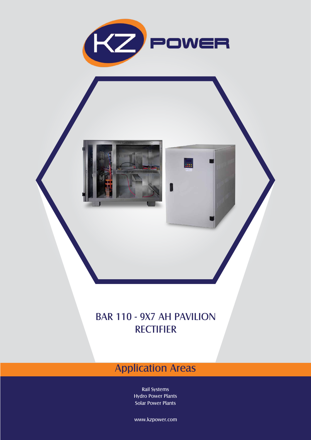

**UTH** 

## BAR 110 - 9X7 AH PAVILION **RECTIFIER**

## Application Areas

Rail Systems Hydro Power Plants Solar Power Plants

www.kzpower.com